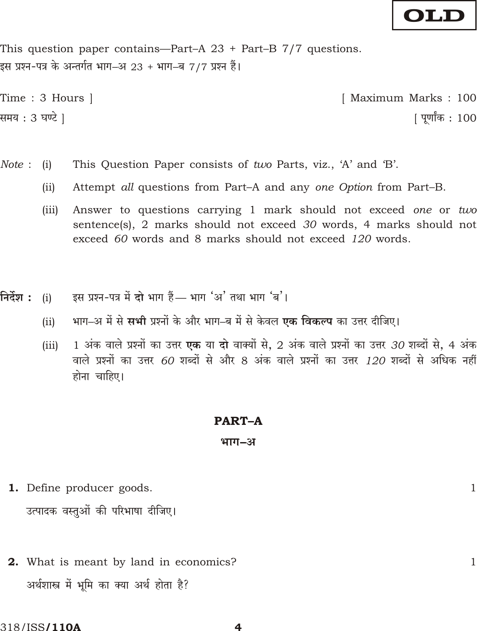# OLD

This question paper contains—Part-A  $23 +$  Part-B  $7/7$  questions. इस प्रश्न-पत्र के अन्तर्गत भाग–अ 23 + भाग–ब 7/7 प्रश्न हैं।

Time : 3 Hours | [ Maximum Marks: 100 समय : 3 घण्टे ] <u> ।</u> पर्णांक : 100

- Note: This Question Paper consists of two Parts, viz., 'A' and 'B'.  $(i)$ 
	- $(ii)$ Attempt all questions from Part–A and any one Option from Part–B.
	- Answer to questions carrying 1 mark should not exceed one or two  $(iii)$ sentence(s), 2 marks should not exceed 30 words, 4 marks should not exceed 60 words and 8 marks should not exceed 120 words.
- इस प्रश्न-पत्र में दो भाग हैं— भाग 'अ' तथा भाग 'ब'। निर्देश :  $(i)$ 
	- भाग-अ में से **सभी** प्रश्नों के और भाग-ब में से केवल **एक विकल्प** का उत्तर दीजिए।  $(ii)$
	- 1 अंक वाले प्रश्नों का उत्तर **एक** या दो वाक्यों से, 2 अंक वाले प्रश्नों का उत्तर *30* शब्दों से, 4 अंक  $(iii)$ वाले प्रश्नों का उत्तर 60 शब्दों से और 8 अंक वाले प्रश्नों का उत्तर 120 शब्दों से अधिक नहीं होना चाहिए।

#### **PART-A**

#### भाग–अ

- **1.** Define producer goods. उत्पादक वस्तुओं की परिभाषा दीजिए।
- **2.** What is meant by land in economics? अर्थशास्त्र में भूमि का क्या अर्थ होता है?

4

 $\mathbf{1}$ 

 $\mathbf{1}$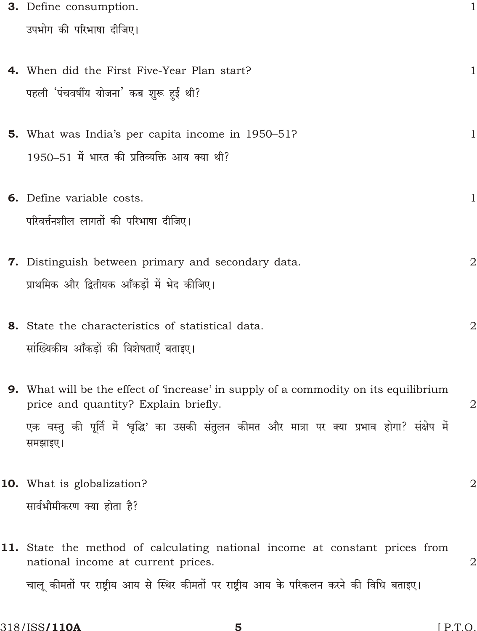| 3. Define consumption.                                                                                                              | 1            |
|-------------------------------------------------------------------------------------------------------------------------------------|--------------|
| उपभोग की परिभाषा दीजिए।                                                                                                             |              |
|                                                                                                                                     |              |
| 4. When did the First Five-Year Plan start?                                                                                         | 1            |
| पहली 'पंचवर्षीय योजना' कब शुरू हुई थी?                                                                                              |              |
|                                                                                                                                     |              |
| <b>5.</b> What was India's per capita income in 1950–51?                                                                            | 1            |
| 1950–51 में भारत की प्रतिव्यक्ति आय क्या थी?                                                                                        |              |
|                                                                                                                                     |              |
| <b>6.</b> Define variable costs.                                                                                                    | $\mathbf 1$  |
| परिवर्त्तनशील लागतों की परिभाषा दीजिए।                                                                                              |              |
|                                                                                                                                     |              |
| 7. Distinguish between primary and secondary data.                                                                                  | $\mathbf 2$  |
| प्राथमिक और द्वितीयक आँकड़ों में भेद कीजिए।                                                                                         |              |
|                                                                                                                                     |              |
| 8. State the characteristics of statistical data.                                                                                   | $\mathbf 2$  |
| सांख्यिकीय आँकड़ों की विशेषताएँ बताइए।                                                                                              |              |
|                                                                                                                                     |              |
| <b>9.</b> What will be the effect of 'increase' in supply of a commodity on its equilibrium<br>price and quantity? Explain briefly. | $\mathbf 2$  |
| एक वस्तु की पूर्ति में 'वृद्धि' का उसकी संतुलन कीमत और मात्रा पर क्या प्रभाव होगा? संक्षेप में                                      |              |
| समझाइए।                                                                                                                             |              |
|                                                                                                                                     |              |
| <b>10.</b> What is globalization?                                                                                                   | $\mathbf{2}$ |
| सार्वभौमीकरण क्या होता है?                                                                                                          |              |
|                                                                                                                                     |              |
| 11. State the method of calculating national income at constant prices from                                                         |              |
| national income at current prices.                                                                                                  | 2            |
| चालू कीमतों पर राष्ट्रीय आय से स्थिर कीमतों पर राष्ट्रीय आय के परिकलन करने की विधि बताइए।                                           |              |
|                                                                                                                                     |              |

 $5^{\circ}$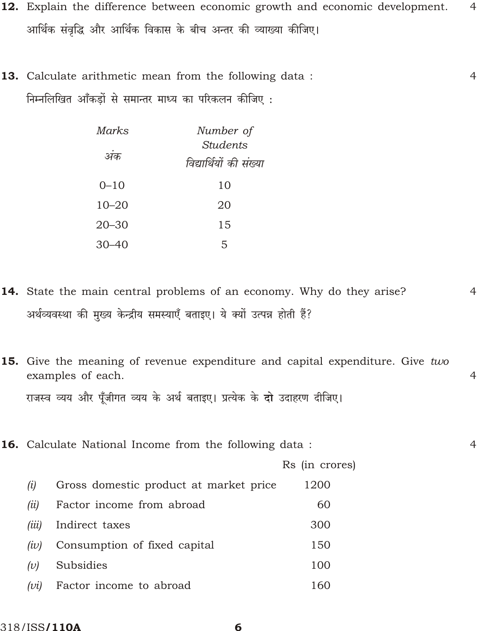- 12. Explain the difference between economic growth and economic development.  $\overline{4}$ आर्थिक संवृद्धि और आर्थिक विकास के बीच अन्तर की व्याख्या कीजिए।
- **13.** Calculate arithmetic mean from the following data:  $\overline{4}$ निम्नलिखित आँकड़ों से समान्तर माध्य का परिकलन कीजिए :

| Marks     | Number of               |
|-----------|-------------------------|
|           | Students                |
| अक        | विद्यार्थियों की संख्या |
| $0 - 10$  | 10                      |
| $10 - 20$ | 20                      |
| $20 - 30$ | 15                      |
| $30 - 40$ | 5                       |

14. State the main central problems of an economy. Why do they arise? अर्थव्यवस्था की मुख्य केन्द्रीय समस्याएँ बताइए। ये क्यों उत्पन्न होती हैं?

 $\overline{4}$ 

- 15. Give the meaning of revenue expenditure and capital expenditure. Give two examples of each.  $\overline{4}$ राजस्व व्यय और पुँजीगत व्यय के अर्थ बताइए। प्रत्येक के **दो** उदाहरण दीजिए।
- 16. Calculate National Income from the following data:  $\overline{4}$ Rs (in crores) Gross domestic product at market price  $(i)$ 1200 Factor income from abroad  $(ii)$ 60 Indirect taxes  $(iii)$ 300 Consumption of fixed capital 150  $(iv)$ **Subsidies** 100  $(v)$  $(vi)$ Factor income to abroad 160

6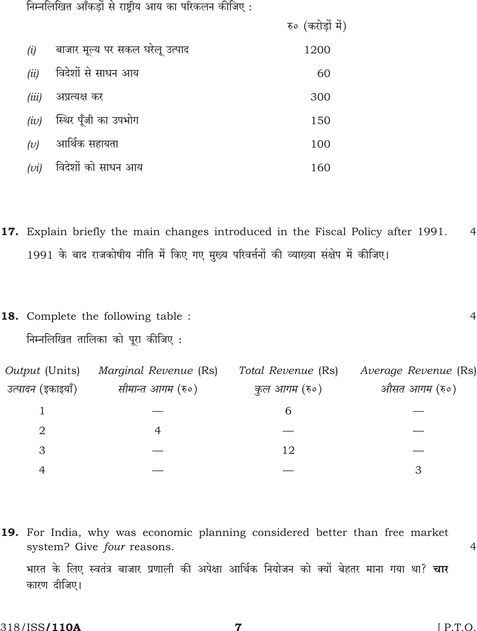निम्नलिखित आँकड़ों से राष्ट्रीय आय का परिकलन कीजिए:

|       |                                 | रु० (करोड़ों में) |
|-------|---------------------------------|-------------------|
| (i)   | बाजार मूल्य पर सकल घरेलू उत्पाद | 1200              |
| (ii)  | विदेशों से साधन आय              | 60                |
| (iii) | अप्रत्यक्ष कर                   | 300               |
| (iv)  | स्थिर पूँजी का उपभोग            | 150               |
| (v)   | आर्थिक सहायता                   | 100               |
| (vi)  | विदेशों को साधन आय              | 160               |

- 17. Explain briefly the main changes introduced in the Fiscal Policy after 1991.  $\overline{4}$ 1991 के बाद राजकोषीय नीति में किए गए मुख्य परिवर्त्तनों की व्याख्या संक्षेप में कीजिए।
- 18. Complete the following table:  $\overline{4}$ निम्नलिखित तालिका को पूरा कीजिए :

| Output (Units)            | Marginal Revenue (Rs) | Total Revenue (Rs) | Average Revenue (Rs) |
|---------------------------|-----------------------|--------------------|----------------------|
| <i>उत्पादन (</i> इकाइयाँ) | सीमान्त आगम (रु०)     | कुल आगम (रु०)      | औसत आगम (रु०)        |
|                           |                       |                    |                      |
| 2                         |                       |                    |                      |
| 3                         |                       | 12                 |                      |
|                           |                       |                    |                      |

19. For India, why was economic planning considered better than free market system? Give four reasons.

भारत के लिए स्वतंत्र बाजार प्रणाली की अपेक्षा आर्थिक नियोजन को क्यों बेहतर माना गया था? **चार** कारण दीजिए।

 $\overline{4}$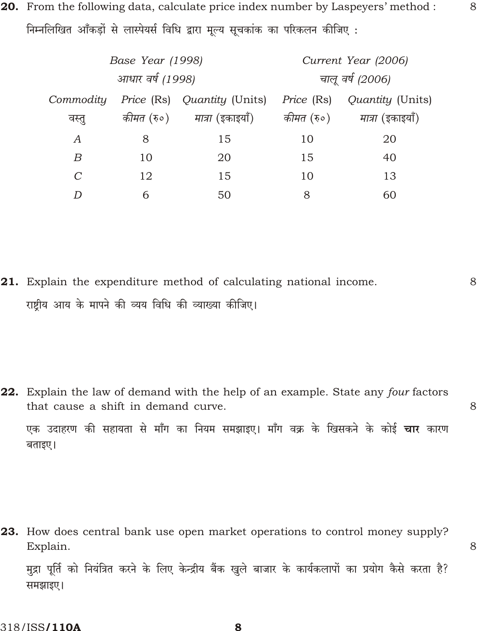20. From the following data, calculate price index number by Laspeyers' method : निम्नलिखित आँकडों से लास्पेयर्स विधि द्वारा मूल्य सूचकांक का परिकलन कीजिए:

| Base Year (1998) |    |                                               | Current Year (2006) |                                     |  |
|------------------|----|-----------------------------------------------|---------------------|-------------------------------------|--|
| आधार वर्ष (1998) |    |                                               | चालू वर्ष (2006)    |                                     |  |
| Commodity        |    | <i>Price</i> (Rs) <i>Quantity</i> (Units)     | <i>Price</i> (Rs)   | Quantity (Units)                    |  |
| वस्तू            |    | <i>कीमत (</i> रु०) - <i>मात्रा (इ</i> काइयाँ) |                     | <i>कीमत (</i> रु०) मात्रा (इकाइयाँ) |  |
| $\overline{A}$   | 8  | 15                                            | 10                  | 20                                  |  |
| $\boldsymbol{B}$ | 10 | 20                                            | 15                  | 40                                  |  |
| $\mathcal{C}$    | 12 | 15                                            | 10                  | 13                                  |  |
| D                | 6  | 50                                            | 8                   | 60                                  |  |

21. Explain the expenditure method of calculating national income. 8 राष्ट्रीय आय के मापने की व्यय विधि की व्याख्या कीजिए।

22. Explain the law of demand with the help of an example. State any four factors that cause a shift in demand curve. 8 एक उदाहरण की सहायता से माँग का नियम समझाइए। माँग वक्र के खिसकने के कोई **चार** कारण बताइए।

23. How does central bank use open market operations to control money supply? Explain.

8

8

मुद्रा पूर्ति को नियंत्रित करने के लिए केन्द्रीय बैंक खुले बाजार के कार्यकलापों का प्रयोग कैसे करता है? समझाइए।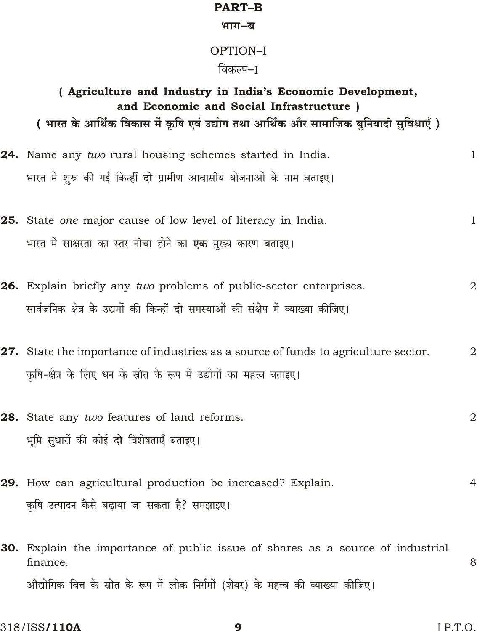### **PART-B**

#### भाग–ब

## OPTION-I

### विकल्प–I

| ( Agriculture and Industry in India's Economic Development,<br>and Economic and Social Infrastructure )<br>( भारत के आर्थिक विकास में कृषि एवं उद्योग तथा आर्थिक और सामाजिक बुनियादी सुविधाएँ ) |                |
|-------------------------------------------------------------------------------------------------------------------------------------------------------------------------------------------------|----------------|
| 24. Name any two rural housing schemes started in India.<br>भारत में शुरू की गई किन्हीं <b>दो</b> ग्रामीण आवासीय योजनाओं के नाम बताइए।                                                          | $\mathbf{1}$   |
| 25. State one major cause of low level of literacy in India.<br>भारत में साक्षरता का स्तर नीचा होने का <b>एक</b> मुख्य कारण बताइए।                                                              | $\mathbf{1}$   |
| 26. Explain briefly any two problems of public-sector enterprises.<br>सार्वजनिक क्षेत्र के उद्यमों की किन्हीं <b>दो</b> समस्याओं की संक्षेप में व्याख्या कीजिए।                                 | $\overline{2}$ |
| 27. State the importance of industries as a source of funds to agriculture sector.<br>कृषि-क्षेत्र के लिए धन के स्रोत के रूप में उद्योगों का महत्त्व बताइए।                                     | $\mathbf{2}$   |
| 28. State any two features of land reforms.<br>भूमि सुधारों की कोई दो विशेषताएँ बताइए।                                                                                                          | $\mathbf{C}$   |
| 29. How can agricultural production be increased? Explain.<br>कृषि उत्पादन कैसे बढ़ाया जा सकता है? समझाइए।                                                                                      | $\overline{4}$ |
| <b>30.</b> Explain the importance of public issue of shares as a source of industrial<br>finance.                                                                                               | 8              |

8

औद्योगिक वित्त के स्रोत के रूप में लोक निर्गमों (शेयर) के महत्त्व की व्याख्या कीजिए।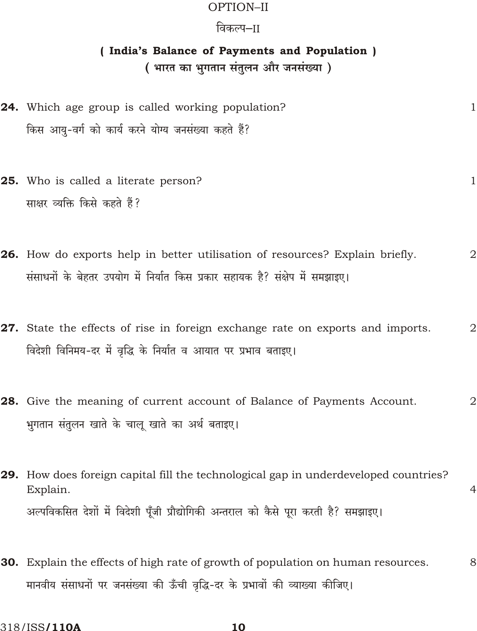### OPTION-II

### विकल्प–ाा

### (India's Balance of Payments and Population)

( भारत का भुगतान संतुलन और जनसंख्या)

- **24.** Which age group is called working population?  $\mathbf{1}$ किस आयु-वर्ग को कार्य करने योग्य जनसंख्या कहते हैं?
- 25. Who is called a literate person? साक्षर व्यक्ति किसे कहते हैं?

 $\mathbf{1}$ 

- 26. How do exports help in better utilisation of resources? Explain briefly.  $\overline{2}$ संसाधनों के बेहतर उपयोग में निर्यात किस प्रकार सहायक है? संक्षेप में समझाइए।
- 27. State the effects of rise in foreign exchange rate on exports and imports.  $\overline{2}$ विदेशी विनिमय-दर में वृद्धि के निर्यात व आयात पर प्रभाव बताइए।
- 28. Give the meaning of current account of Balance of Payments Account.  $\overline{2}$ भुगतान संतुलन खाते के चालू खाते का अर्थ बताइए।
- 29. How does foreign capital fill the technological gap in underdeveloped countries?  $\overline{4}$ Explain. अल्पविकसित देशों में विदेशी पूँजी प्रौद्योगिकी अन्तराल को कैसे पूरा करती है? समझाइए।
- 30. Explain the effects of high rate of growth of population on human resources. 8 मानवीय संसाधनों पर जनसंख्या की ऊँची वृद्धि-दर के प्रभावों की व्याख्या कीजिए।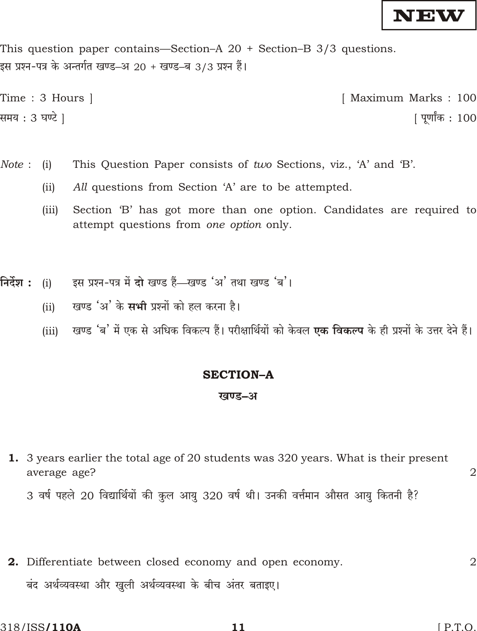

This question paper contains—Section–A  $20 +$  Section–B  $3/3$  questions. इस प्रश्न-पत्र के अन्तर्गत खण्ड–अ 20 + खण्ड–ब 3/3 प्रश्न हैं।

```
Time : 3 Hours ]
                                                                          [ Maximum Marks: 100
समय : 3 घण्टे ]
                                                                                          <u> ।</u> पर्णांक : 100
```
- This Question Paper consists of two Sections, viz., 'A' and 'B'. Note:  $(i)$ 
	- All questions from Section 'A' are to be attempted.  $(ii)$
	- Section 'B' has got more than one option. Candidates are required to  $(iii)$ attempt questions from one option only.
- निर्देश : इस प्रश्न-पत्र में दो खण्ड हैं—खण्ड 'अ' तथा खण्ड 'ब'।  $(i)$ 
	- खण्ड 'अ' के सभी प्रश्नों को हल करना है।  $(ii)$
	- खण्ड 'ब' में एक से अधिक विकल्प हैं। परीक्षार्थियों को केवल **एक विकल्प** के ही प्रश्नों के उत्तर देने हैं।  $(iii)$

#### **SECTION-A**

#### खण्ड–अ

1. 3 years earlier the total age of 20 students was 320 years. What is their present average age?

3 वर्ष पहले 20 विद्यार्थियों की कुल आयु 320 वर्ष थी। उनकी वर्त्तमान औसत आयु कितनी है?

2. Differentiate between closed economy and open economy.  $\overline{2}$ बंद अर्थव्यवस्था और खुली अर्थव्यवस्था के बीच अंतर बताइए।

 $\overline{2}$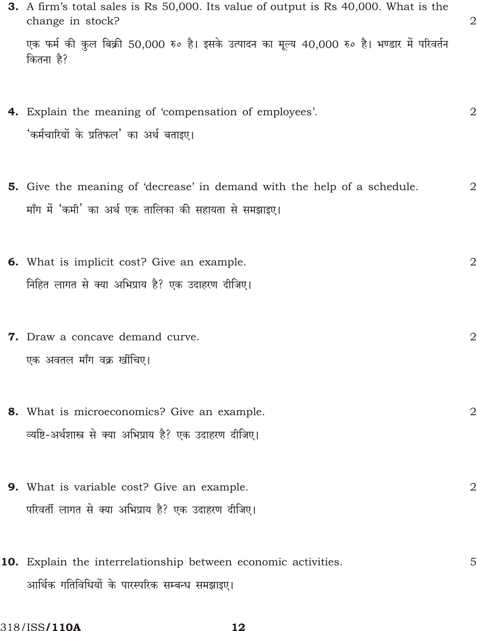| 3. A firm's total sales is Rs 50,000. Its value of output is Rs 40,000. What is the<br>change in stock?                                  | 2              |
|------------------------------------------------------------------------------------------------------------------------------------------|----------------|
| एक फर्म की कुल बिक्री 50,000 रु० है। इसके उत्पादन का मूल्य 40,000 रु० है। भण्डार में परिवर्तन<br>कितना है?                               |                |
| 4. Explain the meaning of 'compensation of employees'.<br>'कर्मचारियों के प्रतिफल' का अर्थ बताइए।                                        | $\overline{2}$ |
| <b>5.</b> Give the meaning of 'decrease' in demand with the help of a schedule.<br>माँग में 'कमी' का अर्थ एक तालिका की सहायता से समझाइए। | $\mathbf{2}$   |
| 6. What is implicit cost? Give an example.<br>निहित लागत से क्या अभिप्राय है? एक उदाहरण दीजिए।                                           | $\mathbf{2}$   |
| 7. Draw a concave demand curve.<br>एक अवतल माँग वक्र खींचिए।                                                                             | $\mathbf 2$    |
| 8. What is microeconomics? Give an example.<br>व्यष्टि-अर्थशास्त्र से क्या अभिप्राय है? एक उदाहरण दीजिए।                                 | $\mathbf{2}$   |
| 9. What is variable cost? Give an example.<br>परिवर्ती लागत से क्या अभिप्राय है? एक उदाहरण दीजिए।                                        | 2              |
| 10. Explain the interrelationship between economic activities.<br>आर्थिक गतिविधियों के पारस्परिक सम्बन्ध समझाइए।                         | 5              |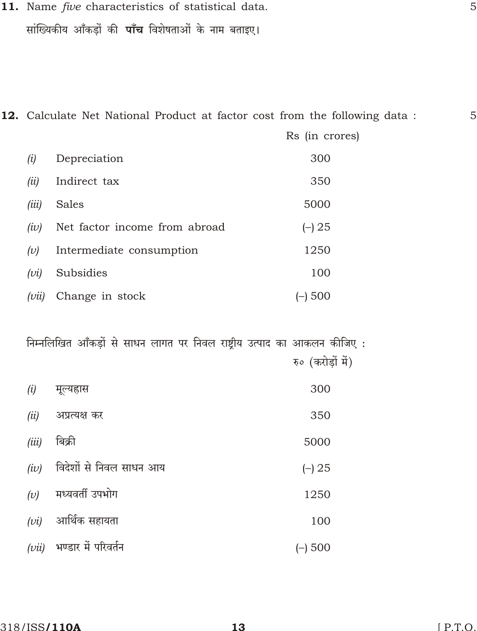11. Name five characteristics of statistical data. सांख्यिकीय आँकड़ों की **पाँच** विशेषताओं के नाम बताइए।

12. Calculate Net National Product at factor cost from the following data :

|       |                               | Rs (in crores) |
|-------|-------------------------------|----------------|
| (i)   | Depreciation                  | 300            |
| (ii)  | Indirect tax                  | 350            |
| (iii) | Sales                         | 5000           |
| (iv)  | Net factor income from abroad | ( ) 25         |
| (v)   | Intermediate consumption      | 1250           |
| (vi)  | Subsidies                     | 100            |
| (vii) | Change in stock               | 500            |

निम्नलिखित आँकड़ों से साधन लागत पर निवल राष्ट्रीय उत्पाद का आकलन कीजिए: रु० (करोडों में)

| (i)   | मूल्यह्रास              | 300    |
|-------|-------------------------|--------|
| (ii)  | अप्रत्यक्ष कर           | 350    |
| (iii) | बिक्री                  | 5000   |
| (iv)  | विदेशों से निवल साधन आय | ( ) 25 |
| (v)   | मध्यवर्ती उपभोग         | 1250   |
| (vi)  | आर्थिक सहायता           | 100    |
| (vii) | भण्डार में परिवर्तन     | 500    |

5

5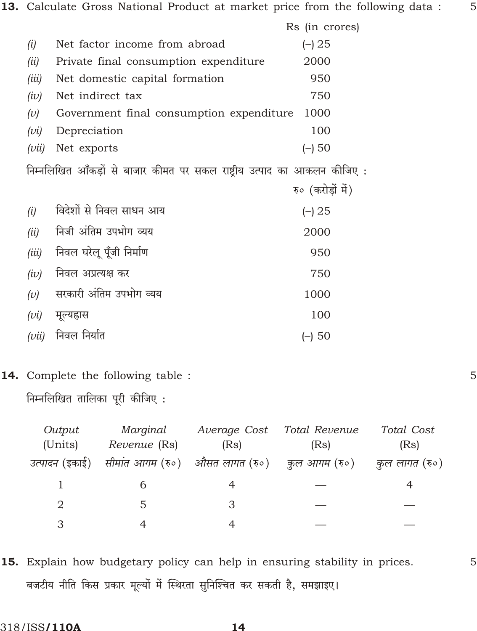|       |                                          | Rs (in crores) |  |
|-------|------------------------------------------|----------------|--|
| (i)   | Net factor income from abroad            | 25             |  |
| (ii)  | Private final consumption expenditure    | 2000           |  |
| (iii) | Net domestic capital formation           | 950            |  |
| (iv)  | Net indirect tax                         | 750            |  |
| (v)   | Government final consumption expenditure | 1000           |  |
| (vi)  | Depreciation                             | 100            |  |
| (vu)  | Net exports                              | 50             |  |
|       |                                          |                |  |

निम्नलिखित आँकड़ों से बाजार कीमत पर सकल राष्ट्रीय उत्पाद का आकलन कीजिए:

|       |                          | रु० (करोड़ों में) |
|-------|--------------------------|-------------------|
| (i)   | विदेशों से निवल साधन आय  | ( ) 25            |
| (ii)  | निजी अंतिम उपभोग व्यय    | 2000              |
| (iii) | निवल घरेलू पूँजी निर्माण | 950               |
| (iv)  | निवल अप्रत्यक्ष कर       | 750               |
| (v)   | सरकारी अंतिम उपभोग व्यय  | 1000              |
| (vi)  | मूल्यह्रास               | 100               |
| (vii) | निवल निर्यात             | $(-)$ 50          |

### 14. Complete the following table :

निम्नलिखित तालिका पूरी कीजिए:

| Output                 | Marginal     | Average Cost | Total Revenue                                     | Total Cost      |
|------------------------|--------------|--------------|---------------------------------------------------|-----------------|
| (Units)                | Revenue (Rs) | (Rs)         | (Rs)                                              | (Rs)            |
| <i>उत्पादन (इ</i> काई) |              |              | सीमांत आगम (रु०) - औसत लागत (रु०) - कुल आगम (रु०) | ्कुल लागत (रु०) |
|                        |              |              |                                                   |                 |
| 2                      | .5           | З            |                                                   |                 |
|                        |              |              |                                                   |                 |

15. Explain how budgetary policy can help in ensuring stability in prices. बजटीय नीति किस प्रकार मूल्यों में स्थिरता सुनिश्चित कर सकती है, समझाइए।

5

5

5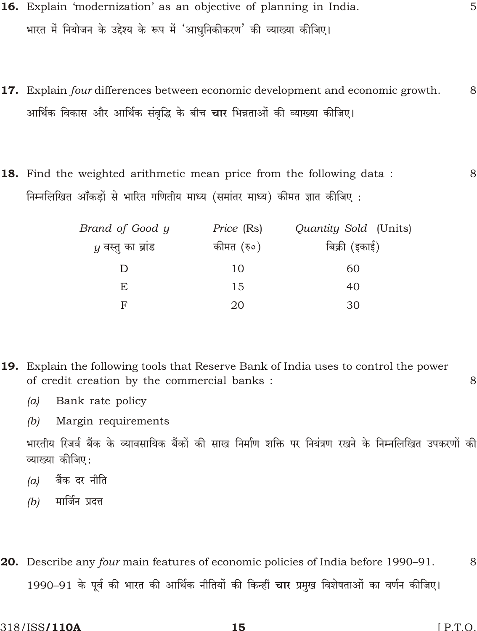- 16. Explain 'modernization' as an objective of planning in India. 5 भारत में नियोजन के उद्देश्य के रूप में 'आधनिकीकरण' की व्याख्या कीजिए।
- 17. Explain four differences between economic development and economic growth. 8 आर्थिक विकास और आर्थिक संवृद्धि के बीच **चार** भिन्नताओं की व्याख्या कीजिए।
- **18.** Find the weighted arithmetic mean price from the following data: 8 निम्नलिखित आँकड़ों से भारित गणितीय माध्य (समांतर माध्य) कीमत ज्ञात कीजिए :

| Brand of Good y    | Price (Rs) | Quantity Sold (Units) |
|--------------------|------------|-----------------------|
| $y$ वस्तु का ब्राड | कीमत (रु०) | बिक्री (इकाई)         |
|                    | 10         | 60                    |
| E                  | 15         | 40                    |
| F                  | 20         | 30                    |

- **19.** Explain the following tools that Reserve Bank of India uses to control the power of credit creation by the commercial banks: 8
	- Bank rate policy  $(a)$
	- $(b)$ Margin requirements

भारतीय रिजर्व बैंक के व्यावसायिक बैंकों की साख निर्माण शक्ति पर नियंत्रण रखने के निम्नलिखित उपकरणों की व्याख्या कीजिए:

- बैंक दर नीति  $(a)$
- मार्जिन प्रदत्त  $(b)$
- **20.** Describe any four main features of economic policies of India before 1990–91. 8 1990–91 के पूर्व की भारत की आर्थिक नीतियों की किन्हीं चार प्रमुख विशेषताओं का वर्णन कीजिए।